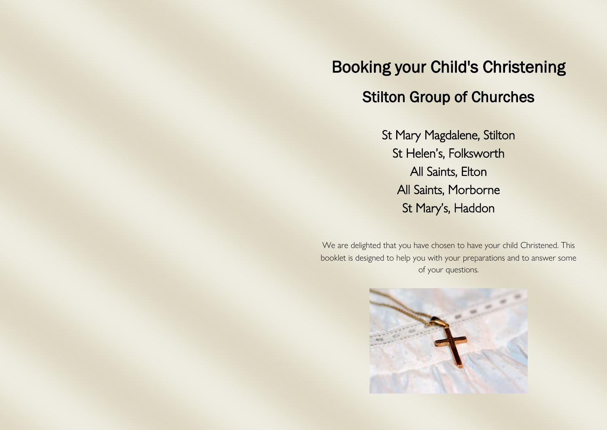# Booking your Child's Christening Stilton Group of Churches

St Mary Magdalene, Stilton St Helen's, Folksworth All Saints, Elton All Saints, Morborne St Mary's, Haddon

We are delighted that you have chosen to have your child Christened. This booklet is designed to help you with your preparations and to answer some of your questions.

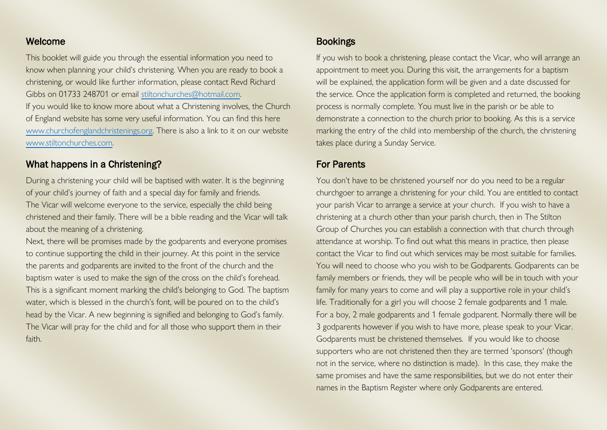# Welcome

This booklet will guide you through the essential information you need to know when planning your child's christening. When you are ready to book a christening, or would like further information, please contact Revd Richard Gibbs on 01733 248701 or email [stiltonchurches@hotmail.com.](mailto:stiltonchurches@hotmail.com) If you would like to know more about what a Christening involves, the Church of England website has some very useful information. You can find this here [www.churchofenglandchristenings.org.](http://www.churchofenglandchristenings.org/) There is also a link to it on our website [www.stiltonchurches.com.](http://www.stiltonchurches.com/) 

#### What happens in a Christening?

During a christening your child will be baptised with water. It is the beginning of your child's journey of faith and a special day for family and friends. The Vicar will welcome everyone to the service, especially the child being christened and their family. There will be a bible reading and the Vicar will talk about the meaning of a christening.

Next, there will be promises made by the godparents and everyone promises to continue supporting the child in their journey. At this point in the service the parents and godparents are invited to the front of the church and the baptism water is used to make the sign of the cross on the child's forehead. This is a significant moment marking the child's belonging to God. The baptism water, which is blessed in the church's font, will be poured on to the child's head by the Vicar. A new beginning is signified and belonging to God's family. The Vicar will pray for the child and for all those who support them in their faith.

# Bookings

If you wish to book a christening, please contact the Vicar, who will arrange an appointment to meet you. During this visit, the arrangements for a baptism will be explained, the application form will be given and a date discussed for the service. Once the application form is completed and returned, the booking process is normally complete. You must live in the parish or be able to demonstrate a connection to the church prior to booking. As this is a service marking the entry of the child into membership of the church, the christening takes place during a Sunday Service.

# For Parents

You don't have to be christened yourself nor do you need to be a regular churchgoer to arrange a christening for your child. You are entitled to contact your parish Vicar to arrange a service at your church. If you wish to have a christening at a church other than your parish church, then in The Stilton Group of Churches you can establish a connection with that church through attendance at worship. To find out what this means in practice, then please contact the Vicar to find out which services may be most suitable for families. You will need to choose who you wish to be Godparents. Godparents can be family members or friends, they will be people who will be in touch with your family for many years to come and will play a supportive role in your child's life. Traditionally for a girl you will choose 2 female godparents and 1 male. For a boy, 2 male godparents and 1 female godparent. Normally there will be 3 godparents however if you wish to have more, please speak to your Vicar. Godparents must be christened themselves. If you would like to choose supporters who are not christened then they are termed 'sponsors' (though not in the service, where no distinction is made). In this case, they make the same promises and have the same responsibilities, but we do not enter their names in the Baptism Register where only Godparents are entered.